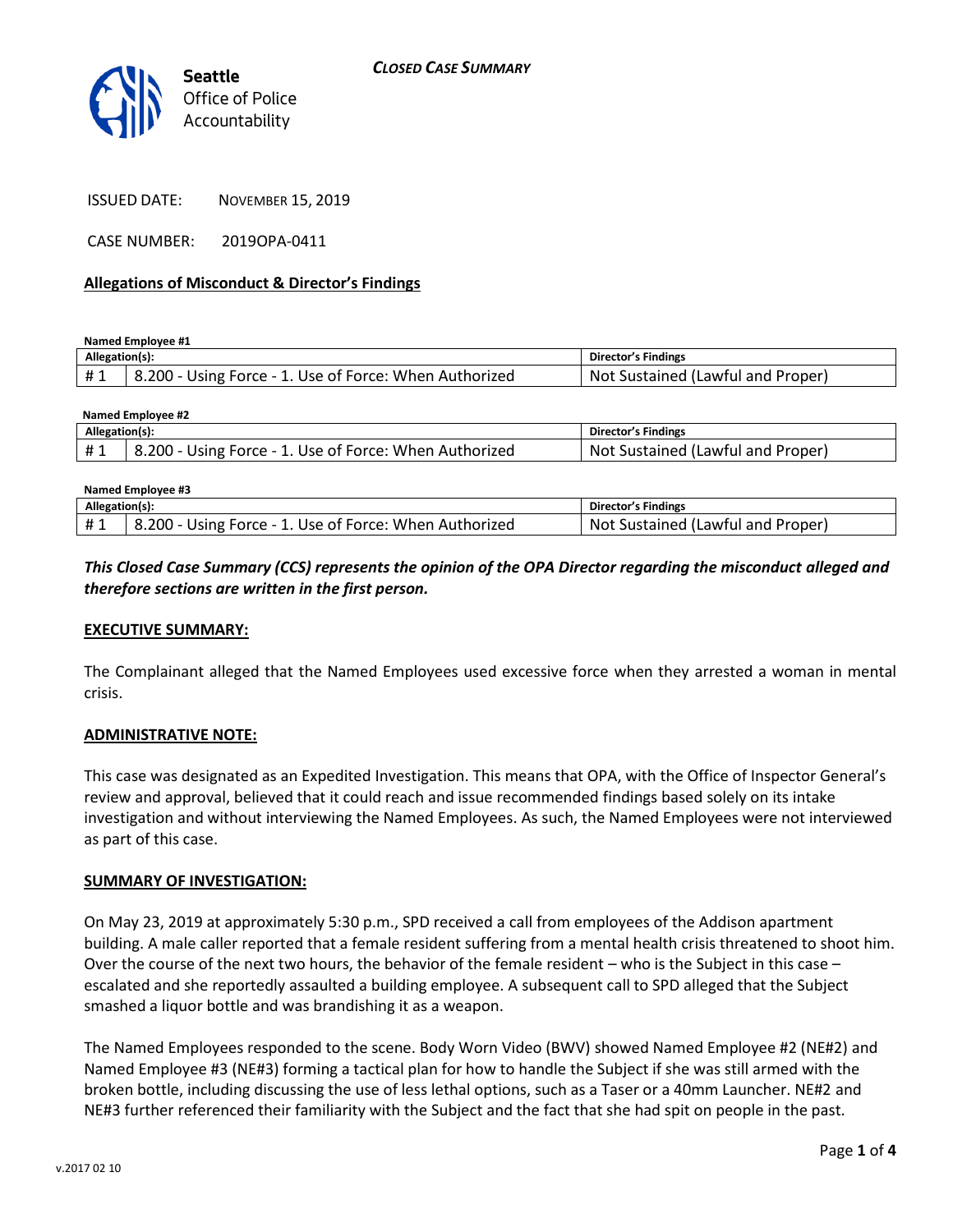

ISSUED DATE: NOVEMBER 15, 2019

CASE NUMBER: 2019OPA-0411

### **Allegations of Misconduct & Director's Findings**

**Named Employee #1**

| Allegation(s): |                                                        | Director's Findings                      |
|----------------|--------------------------------------------------------|------------------------------------------|
| #1             | 8.200 - Using Force - 1. Use of Force: When Authorized | Not '<br>: Sustained (Lawful and Proper) |

| Named Emplovee #2 |                                                        |                                   |  |  |
|-------------------|--------------------------------------------------------|-----------------------------------|--|--|
| Allegation(s):    |                                                        | Director's Findings               |  |  |
| #1                | 8.200 - Using Force - 1. Use of Force: When Authorized | Not Sustained (Lawful and Proper) |  |  |
|                   |                                                        |                                   |  |  |

| Named Emplovee #3 |                                                        |                                   |  |
|-------------------|--------------------------------------------------------|-----------------------------------|--|
| Allegation(s):    |                                                        | Director's Findings               |  |
| #1                | 8.200 - Using Force - 1. Use of Force: When Authorized | Not Sustained (Lawful and Proper) |  |

*This Closed Case Summary (CCS) represents the opinion of the OPA Director regarding the misconduct alleged and therefore sections are written in the first person.* 

### **EXECUTIVE SUMMARY:**

The Complainant alleged that the Named Employees used excessive force when they arrested a woman in mental crisis.

### **ADMINISTRATIVE NOTE:**

This case was designated as an Expedited Investigation. This means that OPA, with the Office of Inspector General's review and approval, believed that it could reach and issue recommended findings based solely on its intake investigation and without interviewing the Named Employees. As such, the Named Employees were not interviewed as part of this case.

### **SUMMARY OF INVESTIGATION:**

On May 23, 2019 at approximately 5:30 p.m., SPD received a call from employees of the Addison apartment building. A male caller reported that a female resident suffering from a mental health crisis threatened to shoot him. Over the course of the next two hours, the behavior of the female resident – who is the Subject in this case – escalated and she reportedly assaulted a building employee. A subsequent call to SPD alleged that the Subject smashed a liquor bottle and was brandishing it as a weapon.

The Named Employees responded to the scene. Body Worn Video (BWV) showed Named Employee #2 (NE#2) and Named Employee #3 (NE#3) forming a tactical plan for how to handle the Subject if she was still armed with the broken bottle, including discussing the use of less lethal options, such as a Taser or a 40mm Launcher. NE#2 and NE#3 further referenced their familiarity with the Subject and the fact that she had spit on people in the past.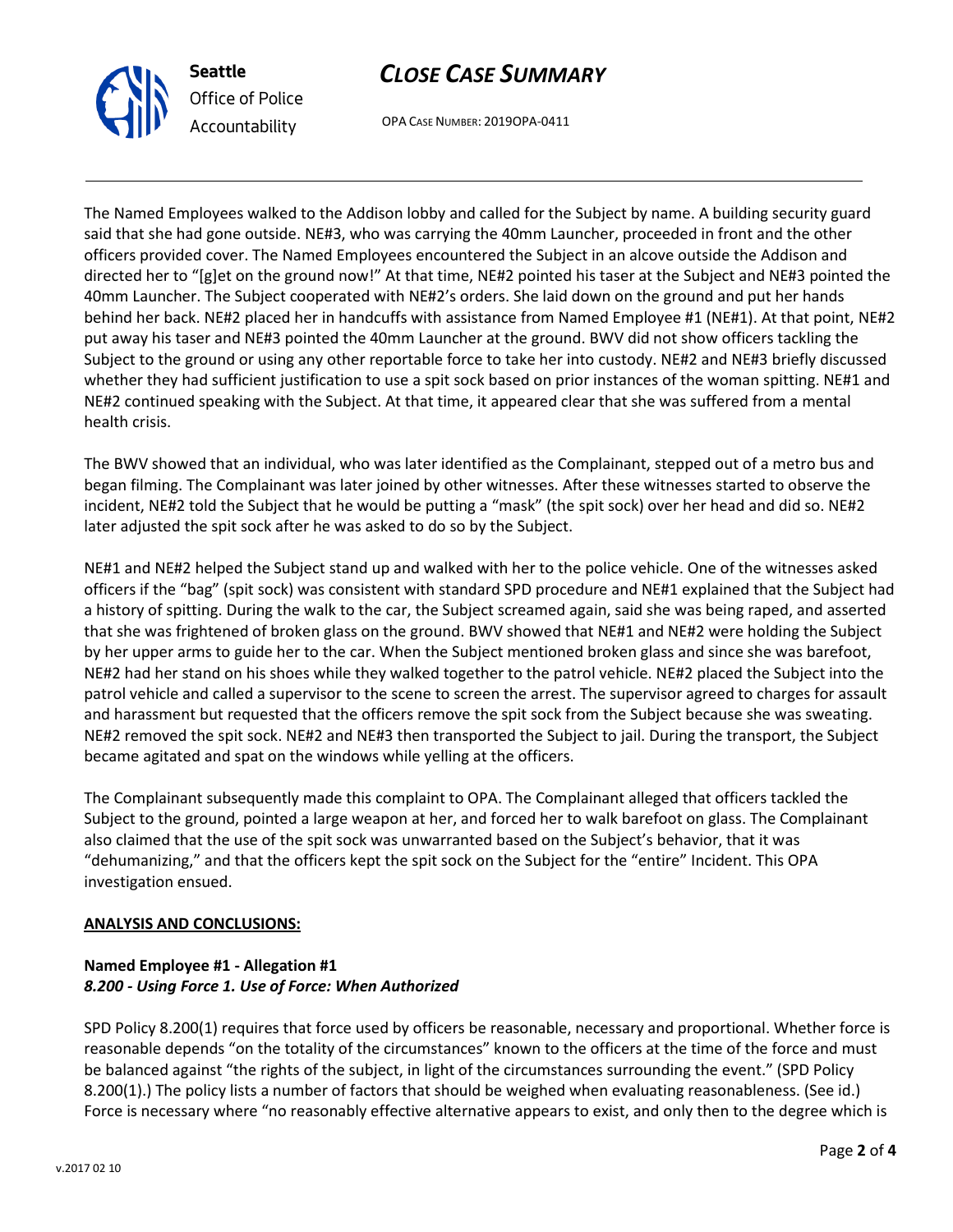



OPA CASE NUMBER: 2019OPA-0411

The Named Employees walked to the Addison lobby and called for the Subject by name. A building security guard said that she had gone outside. NE#3, who was carrying the 40mm Launcher, proceeded in front and the other officers provided cover. The Named Employees encountered the Subject in an alcove outside the Addison and directed her to "[g]et on the ground now!" At that time, NE#2 pointed his taser at the Subject and NE#3 pointed the 40mm Launcher. The Subject cooperated with NE#2's orders. She laid down on the ground and put her hands behind her back. NE#2 placed her in handcuffs with assistance from Named Employee #1 (NE#1). At that point, NE#2 put away his taser and NE#3 pointed the 40mm Launcher at the ground. BWV did not show officers tackling the Subject to the ground or using any other reportable force to take her into custody. NE#2 and NE#3 briefly discussed whether they had sufficient justification to use a spit sock based on prior instances of the woman spitting. NE#1 and NE#2 continued speaking with the Subject. At that time, it appeared clear that she was suffered from a mental health crisis.

The BWV showed that an individual, who was later identified as the Complainant, stepped out of a metro bus and began filming. The Complainant was later joined by other witnesses. After these witnesses started to observe the incident, NE#2 told the Subject that he would be putting a "mask" (the spit sock) over her head and did so. NE#2 later adjusted the spit sock after he was asked to do so by the Subject.

NE#1 and NE#2 helped the Subject stand up and walked with her to the police vehicle. One of the witnesses asked officers if the "bag" (spit sock) was consistent with standard SPD procedure and NE#1 explained that the Subject had a history of spitting. During the walk to the car, the Subject screamed again, said she was being raped, and asserted that she was frightened of broken glass on the ground. BWV showed that NE#1 and NE#2 were holding the Subject by her upper arms to guide her to the car. When the Subject mentioned broken glass and since she was barefoot, NE#2 had her stand on his shoes while they walked together to the patrol vehicle. NE#2 placed the Subject into the patrol vehicle and called a supervisor to the scene to screen the arrest. The supervisor agreed to charges for assault and harassment but requested that the officers remove the spit sock from the Subject because she was sweating. NE#2 removed the spit sock. NE#2 and NE#3 then transported the Subject to jail. During the transport, the Subject became agitated and spat on the windows while yelling at the officers.

The Complainant subsequently made this complaint to OPA. The Complainant alleged that officers tackled the Subject to the ground, pointed a large weapon at her, and forced her to walk barefoot on glass. The Complainant also claimed that the use of the spit sock was unwarranted based on the Subject's behavior, that it was "dehumanizing," and that the officers kept the spit sock on the Subject for the "entire" Incident. This OPA investigation ensued.

## **ANALYSIS AND CONCLUSIONS:**

## **Named Employee #1 - Allegation #1** *8.200 - Using Force 1. Use of Force: When Authorized*

SPD Policy 8.200(1) requires that force used by officers be reasonable, necessary and proportional. Whether force is reasonable depends "on the totality of the circumstances" known to the officers at the time of the force and must be balanced against "the rights of the subject, in light of the circumstances surrounding the event." (SPD Policy 8.200(1).) The policy lists a number of factors that should be weighed when evaluating reasonableness. (See id.) Force is necessary where "no reasonably effective alternative appears to exist, and only then to the degree which is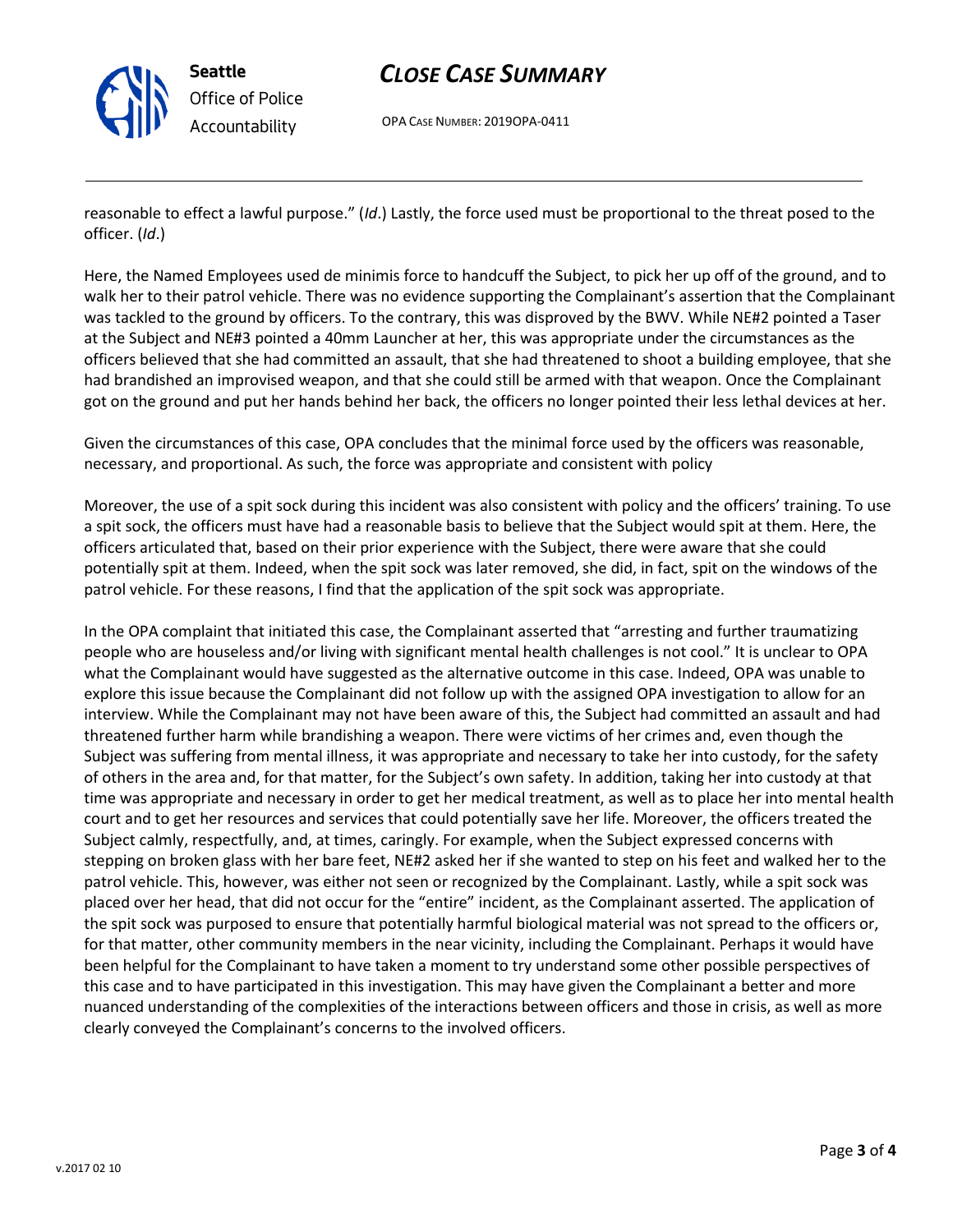

# *CLOSE CASE SUMMARY*

OPA CASE NUMBER: 2019OPA-0411

reasonable to effect a lawful purpose." (*Id*.) Lastly, the force used must be proportional to the threat posed to the officer. (*Id*.)

Here, the Named Employees used de minimis force to handcuff the Subject, to pick her up off of the ground, and to walk her to their patrol vehicle. There was no evidence supporting the Complainant's assertion that the Complainant was tackled to the ground by officers. To the contrary, this was disproved by the BWV. While NE#2 pointed a Taser at the Subject and NE#3 pointed a 40mm Launcher at her, this was appropriate under the circumstances as the officers believed that she had committed an assault, that she had threatened to shoot a building employee, that she had brandished an improvised weapon, and that she could still be armed with that weapon. Once the Complainant got on the ground and put her hands behind her back, the officers no longer pointed their less lethal devices at her.

Given the circumstances of this case, OPA concludes that the minimal force used by the officers was reasonable, necessary, and proportional. As such, the force was appropriate and consistent with policy

Moreover, the use of a spit sock during this incident was also consistent with policy and the officers' training. To use a spit sock, the officers must have had a reasonable basis to believe that the Subject would spit at them. Here, the officers articulated that, based on their prior experience with the Subject, there were aware that she could potentially spit at them. Indeed, when the spit sock was later removed, she did, in fact, spit on the windows of the patrol vehicle. For these reasons, I find that the application of the spit sock was appropriate.

In the OPA complaint that initiated this case, the Complainant asserted that "arresting and further traumatizing people who are houseless and/or living with significant mental health challenges is not cool." It is unclear to OPA what the Complainant would have suggested as the alternative outcome in this case. Indeed, OPA was unable to explore this issue because the Complainant did not follow up with the assigned OPA investigation to allow for an interview. While the Complainant may not have been aware of this, the Subject had committed an assault and had threatened further harm while brandishing a weapon. There were victims of her crimes and, even though the Subject was suffering from mental illness, it was appropriate and necessary to take her into custody, for the safety of others in the area and, for that matter, for the Subject's own safety. In addition, taking her into custody at that time was appropriate and necessary in order to get her medical treatment, as well as to place her into mental health court and to get her resources and services that could potentially save her life. Moreover, the officers treated the Subject calmly, respectfully, and, at times, caringly. For example, when the Subject expressed concerns with stepping on broken glass with her bare feet, NE#2 asked her if she wanted to step on his feet and walked her to the patrol vehicle. This, however, was either not seen or recognized by the Complainant. Lastly, while a spit sock was placed over her head, that did not occur for the "entire" incident, as the Complainant asserted. The application of the spit sock was purposed to ensure that potentially harmful biological material was not spread to the officers or, for that matter, other community members in the near vicinity, including the Complainant. Perhaps it would have been helpful for the Complainant to have taken a moment to try understand some other possible perspectives of this case and to have participated in this investigation. This may have given the Complainant a better and more nuanced understanding of the complexities of the interactions between officers and those in crisis, as well as more clearly conveyed the Complainant's concerns to the involved officers.